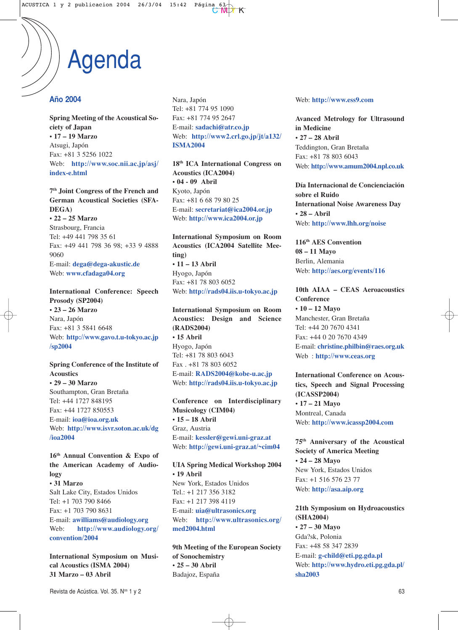### **Año 2004**

**Spring Meeting of the Acoustical Society of Japan • 17 – 19 Marzo** Atsugi, Japón Fax: +81 3 5256 1022 Web: **http://www.soc.nii.ac.jp/asj/ index-e.html**

**7th Joint Congress of the French and German Acoustical Societies (SFA-DEGA) • 22 – 25 Marzo**

Strasbourg, Francia Tel: +49 441 798 35 61 Fax: +49 441 798 36 98; +33 9 4888 9060 E-mail: **dega@dega-akustic.de** Web: **www.cfadaga04.org**

**International Conference: Speech Prosody (SP2004) • 23 – 26 Marzo** Nara, Japón Fax: +81 3 5841 6648 Web: **http://www.gavo.t.u-tokyo.ac.jp /sp2004**

### **Spring Conference of the Institute of Acoustics • 29 – 30 Marzo** Southampton, Gran Bretaña Tel: +44 1727 848195 Fax: +44 1727 850553 E-mail: **ioa@ioa.org.uk** Web: **http://www.isvr.soton.ac.uk/dg /ioa2004**

**16th Annual Convention & Expo of the American Academy of Audiology • 31 Marzo** Salt Lake City, Estados Unidos Tel: +1 703 790 8466 Fax: +1 703 790 8631 E-mail: **awilliams@audiology.org** Web: **http://www.audiology.org/ convention/2004**

**International Symposium on Musical Acoustics (ISMA 2004) 31 Marzo – 03 Abril**

Nara, Japón Tel: +81 774 95 1090 Fax: +81 774 95 2647 E-mail: **sadachi@atr.co.jp** Web: **http://www2.crl.go.jp/jt/a132/ ISMA2004**

**18th ICA International Congress on Acoustics (ICA2004) • 04 - 09 Abril** Kyoto, Japón Fax: +81 6 68 79 80 25 E-mail: **secretariat@ica2004.or.jp** Web: **http://www.ica2004.or.jp**

**International Symposium on Room Acoustics (ICA2004 Satellite Meeting) • 11 – 13 Abril** Hyogo, Japón Fax: +81 78 803 6052 Web: **http://rads04.iis.u-tokyo.ac.jp**

**International Symposium on Room Acoustics: Design and Science (RADS2004) • 15 Abril** Hyogo, Japón Tel: +81 78 803 6043 Fax . +81 78 803 6052 E-mail: **RADS2004@kobe-u.ac.jp** Web: **http://rads04.iis.u-tokyo.ac.jp**

**Conference on Interdisciplinary Musicology (CIM04) • 15 – 18 Abril** Graz, Austria E-mail: **kessler@gewi.uni-graz.at** Web: **http://gewi.uni-graz.at/~cim04**

**UIA Spring Medical Workshop 2004 • 19 Abril** New York, Estados Unidos Tel.: +1 217 356 3182 Fax: +1 217 398 4119 E-mail: **uia@ultrasonics.org** Web: **http://www.ultrasonics.org/ med2004.html**

**9th Meeting of the European Society of Sonochemistry • 25 – 30 Abril** Badajoz, España

Web: **http://www.ess9.com**

**Avanced Metrology for Ultrasound in Medicine • 27 – 28 Abril** Teddington, Gran Bretaña Fax: +81 78 803 6043 Web: **http://www.amum2004.npl.co.uk**

**Día Internacional de Concienciación sobre el Ruido International Noise Awareness Day • 28 – Abril**  Web: **http://www.lhh.org/noise**

**116th AES Convention 08 – 11 Mayo** Berlin, Alemania Web: **http://aes.org/events/116**

**10th AIAA – CEAS Aeroacoustics Conference • 10 – 12 Mayo** Manchester, Gran Bretaña Tel: +44 20 7670 4341 Fax: +44 0 20 7670 4349 E-mail: **christine.philbin@raes.org.uk** Web : **http://www.ceas.org**

**International Conference on Acoustics, Speech and Signal Processing (ICASSP2004) • 17 – 21 Mayo** Montreal, Canada Web: **http://www.icassp2004.com**

**75th Anniversary of the Acoustical Society of America Meeting • 24 – 28 Mayo** New York, Estados Unidos Fax: +1 516 576 23 77 Web: **http://asa.aip.org**

**21th Symposium on Hydroacoustics (SHA2004) • 27 – 30 Mayo** Gda?sk, Polonia Fax: +48 58 347 2839 E-mail: **g-child@eti.pg.gda.pl** Web: **http://www.hydro.eti.pg.gda.pl/ sha2003**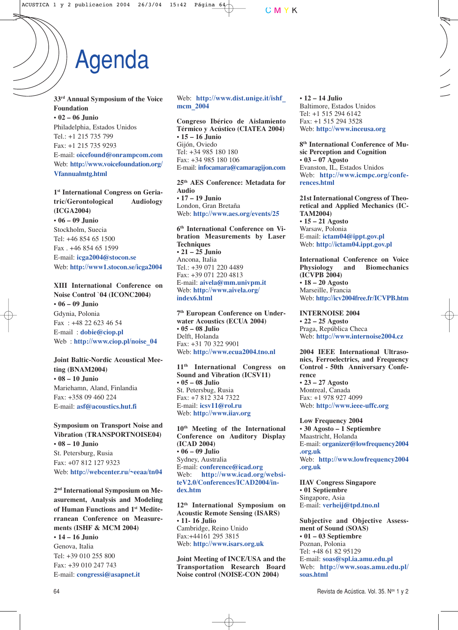**33rd Annual Symposium of the Voice Foundation • 02 – 06 Junio** Philadelphia, Estados Unidos Tel.: +1 215 735 799 Fax: +1 215 735 9293 E-mail: **oicefound@onrampcom.com** Web: **http://www.voicefoundation.org/ Vfannualmtg.html**

**1st International Congress on Geriatric/Gerontological Audiology (ICGA2004) • 06 – 09 Junio** Stockholm, Suecia Tel: +46 854 65 1500 Fax . +46 854 65 1599 E-mail: **icga2004@stocon.se** Web: **http://www1.stocon.se/icga2004**

**XIII International Conference on Noise Control `04 (ICONC2004) • 06 – 09 Junio** Gdynia, Polonia Fax : +48 22 623 46 54 E-mail : **dobie@ciop.pl** Web : **http://www.ciop.pl/noise\_04**

**Joint Baltic-Nordic Acoustical Meeting (BNAM2004) • 08 – 10 Junio** Mariehamn, Aland, Finlandia Fax: +358 09 460 224 E-mail: **asf@acoustics.hut.fi**

**Symposium on Transport Noise and Vibration (TRANSPORTNOISE04) • 08 – 10 Junio** St. Petersburg, Rusia Fax: +07 812 127 9323 Web: **http://webcenter.ru/~eeaa/tn04**

**2nd International Symposium on Measurement, Analysis and Modeling of Human Functions and 1st Mediterranean Conference on Measurements (ISHF & MCM 2004)**

**• 14 – 16 Junio** Genova, Italia Tel: +39 010 255 800 Fax: +39 010 247 743 E-mail: **congressi@asapnet.it** Web: **http://www.dist.unige.it/ishf\_ mcm\_2004**

**Congreso Ibérico de Aislamiento Térmico y Acústico (CIATEA 2004) • 15 – 16 Junio** Gijón, Oviedo Tel: +34 985 180 180 Fax: +34 985 180 106 E-mail: **infocamara@camaragijon.com**

**25th AES Conference: Metadata for Audio • 17 – 19 Junio** London, Gran Bretaña Web: **http://www.aes.org/events/25**

**6th International Conference on Vibration Measurements by Laser Techniques • 21 – 25 Junio** Ancona, Italia Tel.: +39 071 220 4489 Fax: +39 071 220 4813 E-mail: **aivela@mm.univpm.it** Web: **http://www.aivela.org/ index6.html**

**7th European Conference on Underwater Acoustics (ECUA 2004) • 05 – 08 Julio** Delft, Holanda Fax: +31 70 322 9901 Web: **http://www.ecua2004.tno.nl**

**11th International Congress on Sound and Vibration (ICSV11) • 05 – 08 Julio** St. Petersbug, Rusia Fax: +7 812 324 7322 E-mail: **icsv11@rol.ru** Web: **http://www.iiav.org**

**10th Meeting of the International Conference on Auditory Display (ICAD 2004) • 06 – 09 Julio** Sydney, Australia E-mail: **conference@icad.org** Web: **http://www.icad.org/websiteV2.0/Conferences/ICAD2004/index.htm**

**12th International Symposium on Acoustic Remote Sensing (ISARS) • 11- 16 Julio** Cambridge, Reino Unido Fax:+44161 295 3815 Web: **http://www.isars.org.uk**

**Joint Meeting of INCE/USA and the Transportation Research Board Noise control (NOISE-CON 2004)**

**• 12 – 14 Julio** Baltimore, Estados Unidos Tel: +1 515 294 6142 Fax: +1 515 294 3528 Web: **http://www.inceusa.org**

**8th International Conference of Music Perception and Cognition • 03 – 07 Agosto** Evanston, IL, Estados Unidos Web: **http://www.icmpc.org/conferences.html**

**21st International Congress of Theoretical and Applied Mechanics (IC-TAM2004)**

**• 15 – 21 Agosto** Warsaw, Polonia E-mail: **ictam04@ippt.gov.pl** Web: **http://ictam04.ippt.gov.pl**

**International Conference on Voice**<br>**Physiology** and **Riomechanics Physiology (ICVPB 2004) • 18 – 20 Agosto** Marseille, Francia Web: **http://icv2004free.fr/ICVPB.htm**

**INTERNOISE 2004 • 22 – 25 Agosto** Praga, República Checa Web: **http://www.internoise2004.cz**

**2004 IEEE International Ultrasonics, Ferroelectrics, and Frequency Control - 50th Anniversary Conference • 23 – 27 Agosto** Montreal, Canada

Fax: +1 978 927 4099 Web: **http://www.ieee-uffc.org**

**Low Frequency 2004 • 30 Agosto – 1 Septiembre** Maastricht, Holanda E-mail: **organizer@lowfrequency2004 .org.uk** Web: **http://www.lowfrequency2004 .org.uk**

**IIAV Congress Singapore • 01 Septiembre** Singapore, Asia E-mail: **verheij@tpd.tno.nl**

**Subjective and Objective Assessment of Sound (SOAS) • 01 – 03 Septiembre** Poznan, Polonia Tel: +48 61 82 95129 E-mail: **soas@spl.ia.amu.edu.pl** Web: **http://www.soas.amu.edu.pl/ soas.html**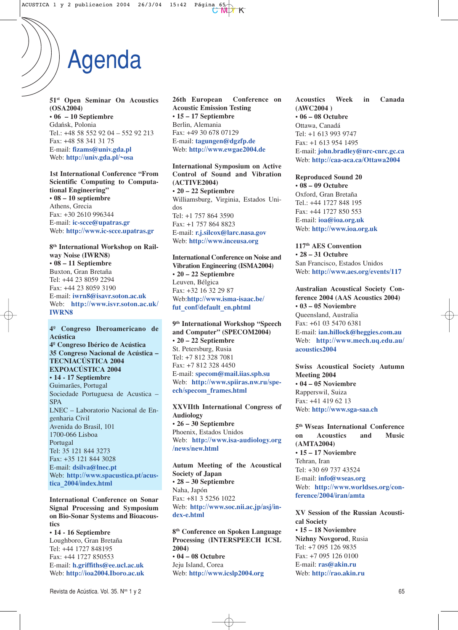**51st Open Seminar On Acoustics (OSA2004) • 06 – 10 Septiembre** Gdańsk, Polonia Tel.: +48 58 552 92 04 – 552 92 213 Fax: +48 58 341 31 75 E-mail: **fizams@univ.gda.pl** Web: **http://univ.gda.pl/~osa**

**1st International Conference "From Scientific Computing to Computational Engineering" • 08 – 10 septiembre** Athens, Grecia Fax: +30 2610 996344 E-mail: **ic-scce@upatras.gr** Web: **http://www.ic-scce.upatras.gr**

**8th International Workshop on Railway Noise (IWRN8) • 08 – 11 Septiembre** Buxton, Gran Bretaña Tel: +44 23 8059 2294 Fax: +44 23 8059 3190 E-mail: **iwrn8@isavr.soton.ac.uk** Web: **http://www.isvr.soton.ac.uk/ IWRN8**

**4º Congreso Iberoamericano de Acústica 4º Congreso Ibérico de Acústica 35 Congreso Nacional de Acústica – TECNIACÚSTICA 2004 EXPOACÚSTICA 2004 • 14 - 17 Septiembre** Guimarães, Portugal Sociedade Portuguesa de Acustica – SPA LNEC – Laboratorio Nacional de Engenharia Civil Avenida do Brasil, 101 1700-066 Lisboa Portugal Tel: 35 121 844 3273 Fax: +35 121 844 3028 E-mail: **dsilva@lnec.pt** Web: **http://www.spacustica.pt/acustica\_2004/index.html**

**International Conference on Sonar Signal Processing and Symposium on Bio-Sonar Systems and Bioacoustics**

**• 14 - 16 Septiembre** Loughboro, Gran Bretaña Tel: +44 1727 848195 Fax: +44 1727 850553 E-mail: **h.griffiths@ee.ucl.ac.uk** Web: **http://ioa2004.Iboro.ac.uk** **26th European Conference on Acoustic Emission Testing • 15 – 17 Septiembre** Berlin, Alemania Fax: +49 30 678 07129 E-mail: **tagungen@dgzfp.de** Web: **http://www.ewgae2004.de**

#### **International Symposium on Active Control of Sound and Vibration (ACTIVE2004) • 20 – 22 Septiembre** Williamsburg, Virginia, Estados Uni-

dos Tel: +1 757 864 3590 Fax: +1 757 864 8823 E-mail: **r.j.silcox@larc.nasa.gov** Web: **http://www.inceusa.org**

**International Conference on Noise and Vibration Engineering (ISMA2004) • 20 – 22 Septiembre** Leuven, Bélgica Fax: +32 16 32 29 87 Web:**http://www.isma-isaac.be/** fut conf/default en.phtml

**9th International Workshop "Speech and Computer" (SPECOM2004) • 20 – 22 Septiembre** St. Petersburg, Rusia Tel: +7 812 328 7081 Fax: +7 812 328 4450 E-mail: **specom@mail.iias.spb.su** Web: **http://www.spiiras.nw.ru/speech/specom\_frames.html**

**XXVIIth International Congress of Audiology • 26 – 30 Septiembre** Phoenix, Estados Unidos Web: **http://www.isa-audiology.org /news/new.html**

**Autum Meeting of the Acoustical Society of Japan • 28 – 30 Septiembre** Naha, Japón Fax: +81 3 5256 1022 Web: **http://www.soc.nii.ac.jp/asj/index-e.html**

**8th Conference on Spoken Language Processing (INTERSPEECH ICSL 2004) • 04 – 08 Octubre** Jeju Island, Corea Web: **http://www.icslp2004.org**

**Acoustics Week in Canada (AWC2004 ) • 06 – 08 Octubre** Ottawa, Canadá Tel: +1 613 993 9747 Fax: +1 613 954 1495 E-mail: **john.bradley@nrc-cnrc.gc.ca** Web: **http://caa-aca.ca/Ottawa2004**

**Reproduced Sound 20 • 08 – 09 Octubre** Oxford, Gran Bretaña Tel.: +44 1727 848 195 Fax: +44 1727 850 553 E-mail: **ioa@ioa.org.uk** Web: **http://www.ioa.org.uk**

**117th AES Convention • 28 – 31 Octubre** San Francisco, Estados Unidos Web: **http://www.aes.org/events/117**

**Australian Acoustical Society Conference 2004 (AAS Acoustics 2004) • 03 – 05 Noviembre** Queensland, Australia Fax: +61 03 5470 6381 E-mail: **ian.hillock@heggies.com.au** Web: **http://www.mech.uq.edu.au/ acoustics2004**

**Swiss Acoustical Society Autumn Meeting 2004 • 04 – 05 Noviembre** Rapperswil, Suiza Fax: +41 419 62 13 Web: **http://www.sga-saa.ch**

**5th Wseas International Conference on Acoustics and Music (AMTA2004) • 15 – 17 Noviembre** Tehran, Iran Tel: +30 69 737 43524 E-mail: **info@wseas.org** Web: **http://www.worldses.org/conference/2004/iran/amta**

**XV Session of the Russian Acoustical Society • 15 – 18 Noviembre Nizhny Novgorod**, Rusia Tel: +7 095 126 9835 Fax: +7 095 126 0100 E-mail: **ras@akin.ru** Web: **http://rao.akin.ru**